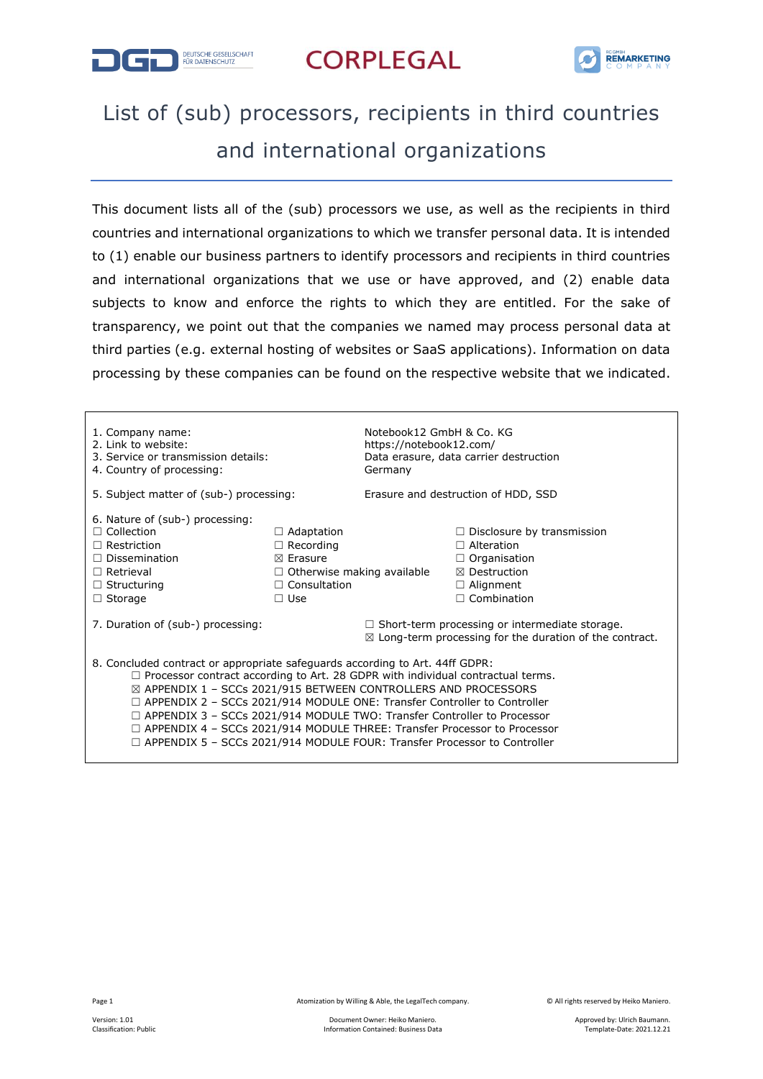



## List of (sub) processors, recipients in third countries and international organizations

This document lists all of the (sub) processors we use, as well as the recipients in third countries and international organizations to which we transfer personal data. It is intended to (1) enable our business partners to identify processors and recipients in third countries and international organizations that we use or have approved, and (2) enable data subjects to know and enforce the rights to which they are entitled. For the sake of transparency, we point out that the companies we named may process personal data at third parties (e.g. external hosting of websites or SaaS applications). Information on data processing by these companies can be found on the respective website that we indicated.

| 1. Company name:<br>2. Link to website:<br>3. Service or transmission details:<br>4. Country of processing:                                                                                                                                                                                                                                                                                                                                                                                                                                                                                    |                                   | Notebook12 GmbH & Co. KG<br>https://notebook12.com/<br>Germany                                                              | Data erasure, data carrier destruction |  |  |
|------------------------------------------------------------------------------------------------------------------------------------------------------------------------------------------------------------------------------------------------------------------------------------------------------------------------------------------------------------------------------------------------------------------------------------------------------------------------------------------------------------------------------------------------------------------------------------------------|-----------------------------------|-----------------------------------------------------------------------------------------------------------------------------|----------------------------------------|--|--|
| 5. Subject matter of (sub-) processing:                                                                                                                                                                                                                                                                                                                                                                                                                                                                                                                                                        |                                   | Erasure and destruction of HDD, SSD                                                                                         |                                        |  |  |
| 6. Nature of (sub-) processing:                                                                                                                                                                                                                                                                                                                                                                                                                                                                                                                                                                |                                   |                                                                                                                             |                                        |  |  |
| $\Box$ Collection                                                                                                                                                                                                                                                                                                                                                                                                                                                                                                                                                                              | $\Box$ Adaptation                 |                                                                                                                             | $\Box$ Disclosure by transmission      |  |  |
| $\Box$ Restriction                                                                                                                                                                                                                                                                                                                                                                                                                                                                                                                                                                             | $\Box$ Recording                  |                                                                                                                             | $\Box$ Alteration                      |  |  |
| $\Box$ Dissemination                                                                                                                                                                                                                                                                                                                                                                                                                                                                                                                                                                           | $\boxtimes$ Erasure               |                                                                                                                             | $\Box$ Organisation                    |  |  |
| $\Box$ Retrieval                                                                                                                                                                                                                                                                                                                                                                                                                                                                                                                                                                               | $\Box$ Otherwise making available |                                                                                                                             | $\boxtimes$ Destruction                |  |  |
| $\Box$ Structuring                                                                                                                                                                                                                                                                                                                                                                                                                                                                                                                                                                             | $\Box$ Consultation               |                                                                                                                             | $\Box$ Alignment                       |  |  |
| $\Box$ Storage                                                                                                                                                                                                                                                                                                                                                                                                                                                                                                                                                                                 | $\Box$ Use                        |                                                                                                                             | $\Box$ Combination                     |  |  |
| 7. Duration of (sub-) processing:                                                                                                                                                                                                                                                                                                                                                                                                                                                                                                                                                              |                                   | $\Box$ Short-term processing or intermediate storage.<br>$\boxtimes$ Long-term processing for the duration of the contract. |                                        |  |  |
| 8. Concluded contract or appropriate safeguards according to Art. 44ff GDPR:<br>$\Box$ Processor contract according to Art. 28 GDPR with individual contractual terms.<br>$\boxtimes$ APPENDIX 1 - SCCs 2021/915 BETWEEN CONTROLLERS AND PROCESSORS<br>$\Box$ APPENDIX 2 - SCCs 2021/914 MODULE ONE: Transfer Controller to Controller<br>$\Box$ APPENDIX 3 - SCCs 2021/914 MODULE TWO: Transfer Controller to Processor<br>$\Box$ APPENDIX 4 – SCCs 2021/914 MODULE THREE: Transfer Processor to Processor<br>$\Box$ APPENDIX 5 – SCCs 2021/914 MODULE FOUR: Transfer Processor to Controller |                                   |                                                                                                                             |                                        |  |  |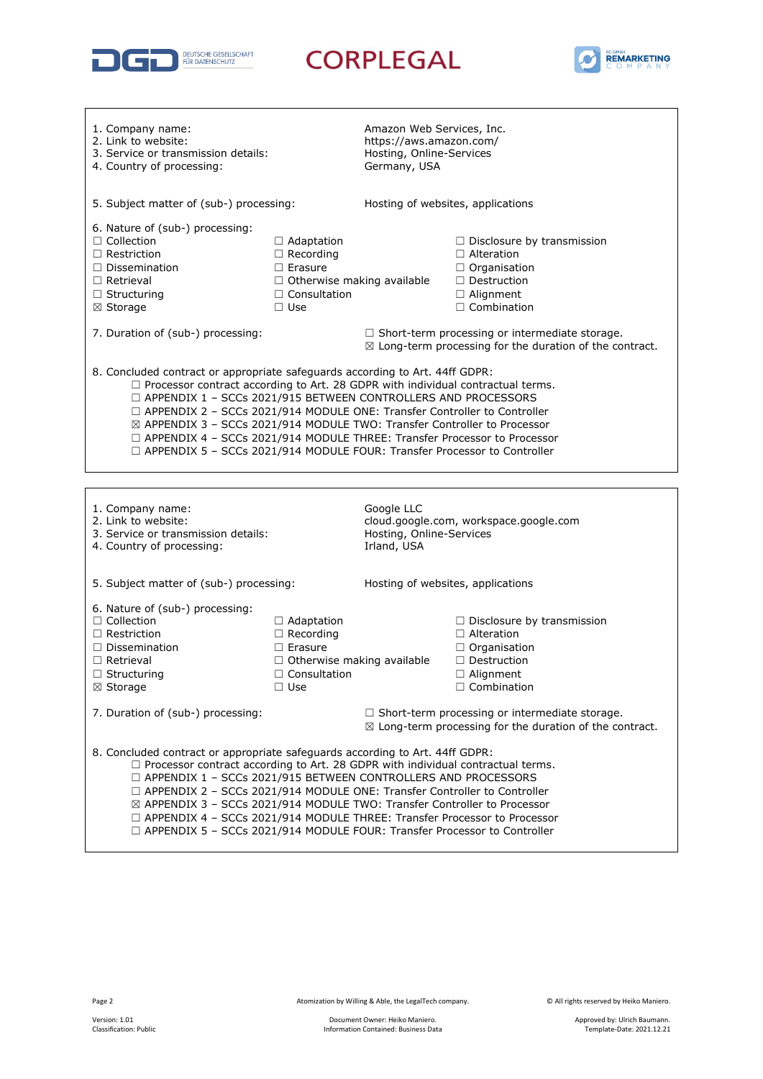



| 1. Company name:<br>2. Link to website:<br>3. Service or transmission details:<br>4. Country of processing:                                                                                                                                                                                                                                                                                                                                                                                                                                                                          |                                                                                                                                   | Amazon Web Services, Inc.<br>https://aws.amazon.com/<br>Hosting, Online-Services<br>Germany, USA |                                                                                                                                               |  |
|--------------------------------------------------------------------------------------------------------------------------------------------------------------------------------------------------------------------------------------------------------------------------------------------------------------------------------------------------------------------------------------------------------------------------------------------------------------------------------------------------------------------------------------------------------------------------------------|-----------------------------------------------------------------------------------------------------------------------------------|--------------------------------------------------------------------------------------------------|-----------------------------------------------------------------------------------------------------------------------------------------------|--|
| 5. Subject matter of (sub-) processing:                                                                                                                                                                                                                                                                                                                                                                                                                                                                                                                                              |                                                                                                                                   | Hosting of websites, applications                                                                |                                                                                                                                               |  |
| 6. Nature of (sub-) processing:<br>$\Box$ Collection<br>$\Box$ Restriction<br>$\Box$ Dissemination<br>$\Box$ Retrieval<br>$\Box$ Structuring<br>⊠ Storage                                                                                                                                                                                                                                                                                                                                                                                                                            | $\Box$ Adaptation<br>$\Box$ Recording<br>$\Box$ Erasure<br>$\Box$ Otherwise making available<br>$\Box$ Consultation<br>$\Box$ Use |                                                                                                  | $\Box$ Disclosure by transmission<br>$\Box$ Alteration<br>$\Box$ Organisation<br>$\Box$ Destruction<br>□ Alignment<br>$\Box$ Combination      |  |
| 7. Duration of (sub-) processing:                                                                                                                                                                                                                                                                                                                                                                                                                                                                                                                                                    |                                                                                                                                   |                                                                                                  | $\Box$ Short-term processing or intermediate storage.<br>$\boxtimes$ Long-term processing for the duration of the contract.                   |  |
| 8. Concluded contract or appropriate safeguards according to Art. 44ff GDPR:<br>$\Box$ Processor contract according to Art. 28 GDPR with individual contractual terms.<br>$\Box$ APPENDIX 1 - SCCs 2021/915 BETWEEN CONTROLLERS AND PROCESSORS<br>$\Box$ APPENDIX 2 - SCCs 2021/914 MODULE ONE: Transfer Controller to Controller<br>⊠ APPENDIX 3 - SCCs 2021/914 MODULE TWO: Transfer Controller to Processor<br>$\Box$ APPENDIX 4 - SCCs 2021/914 MODULE THREE: Transfer Processor to Processor<br>$\Box$ APPENDIX 5 - SCCs 2021/914 MODULE FOUR: Transfer Processor to Controller |                                                                                                                                   |                                                                                                  |                                                                                                                                               |  |
|                                                                                                                                                                                                                                                                                                                                                                                                                                                                                                                                                                                      |                                                                                                                                   |                                                                                                  |                                                                                                                                               |  |
| 1. Company name:<br>2. Link to website:<br>3. Service or transmission details:<br>4. Country of processing:                                                                                                                                                                                                                                                                                                                                                                                                                                                                          |                                                                                                                                   | Google LLC<br>Hosting, Online-Services<br>Irland, USA                                            | cloud.google.com, workspace.google.com                                                                                                        |  |
| 5. Subject matter of (sub-) processing:                                                                                                                                                                                                                                                                                                                                                                                                                                                                                                                                              |                                                                                                                                   | Hosting of websites, applications                                                                |                                                                                                                                               |  |
| 6. Nature of (sub-) processing:<br>$\Box$ Collection<br>$\Box$ Restriction<br>$\Box$ Dissemination<br>$\Box$ Retrieval<br>$\Box$ Structuring<br>⊠ Storage                                                                                                                                                                                                                                                                                                                                                                                                                            | $\Box$ Adaptation<br>$\Box$ Recording<br>$\Box$ Erasure<br>$\Box$ Otherwise making available<br>$\Box$ Consultation<br>$\Box$ Use |                                                                                                  | $\Box$ Disclosure by transmission<br>$\Box$ Alteration<br>$\Box$ Organisation<br>$\Box$ Destruction<br>$\Box$ Alignment<br>$\Box$ Combination |  |
| 7. Duration of (sub-) processing:                                                                                                                                                                                                                                                                                                                                                                                                                                                                                                                                                    |                                                                                                                                   |                                                                                                  | $\Box$ Short-term processing or intermediate storage.<br>$\boxtimes$ Long-term processing for the duration of the contract.                   |  |
| 8. Concluded contract or appropriate safeguards according to Art. 44ff GDPR:<br>$\Box$ Processor contract according to Art. 28 GDPR with individual contractual terms.<br>$\Box$ APPENDIX 1 - SCCs 2021/915 BETWEEN CONTROLLERS AND PROCESSORS<br>$\Box$ APPENDIX 2 - SCCs 2021/914 MODULE ONE: Transfer Controller to Controller<br>⊠ APPENDIX 3 - SCCs 2021/914 MODULE TWO: Transfer Controller to Processor<br>$\Box$ APPENDIX 4 - SCCs 2021/914 MODULE THREE: Transfer Processor to Processor<br>$\Box$ APPENDIX 5 - SCCs 2021/914 MODULE FOUR: Transfer Processor to Controller |                                                                                                                                   |                                                                                                  |                                                                                                                                               |  |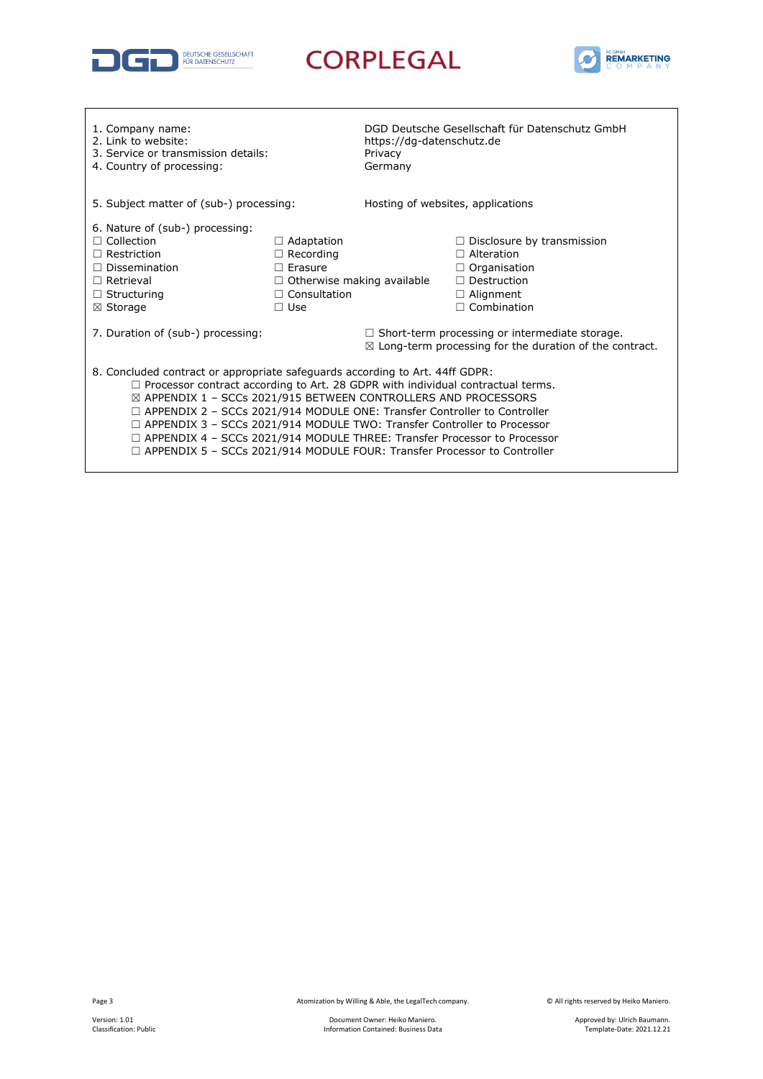



| 1. Company name:<br>2. Link to website:<br>3. Service or transmission details:<br>4. Country of processing:                                                                                                                                                                                                                                                                                                                                                                                                                                                                          |                                                                                                                                   | https://dg-datenschutz.de<br>Privacy<br>Germany                                                                             | DGD Deutsche Gesellschaft für Datenschutz GmbH                                                                                                |  |  |
|--------------------------------------------------------------------------------------------------------------------------------------------------------------------------------------------------------------------------------------------------------------------------------------------------------------------------------------------------------------------------------------------------------------------------------------------------------------------------------------------------------------------------------------------------------------------------------------|-----------------------------------------------------------------------------------------------------------------------------------|-----------------------------------------------------------------------------------------------------------------------------|-----------------------------------------------------------------------------------------------------------------------------------------------|--|--|
| 5. Subject matter of (sub-) processing:                                                                                                                                                                                                                                                                                                                                                                                                                                                                                                                                              |                                                                                                                                   | Hosting of websites, applications                                                                                           |                                                                                                                                               |  |  |
| 6. Nature of (sub-) processing:<br>$\Box$ Collection<br>$\Box$ Restriction<br>$\Box$ Dissemination<br>$\Box$ Retrieval<br>$\Box$ Structuring<br>$\boxtimes$ Storage                                                                                                                                                                                                                                                                                                                                                                                                                  | $\Box$ Adaptation<br>$\Box$ Recording<br>$\Box$ Frasure<br>$\Box$ Otherwise making available<br>$\Box$ Consultation<br>$\Box$ Use |                                                                                                                             | $\Box$ Disclosure by transmission<br>$\Box$ Alteration<br>$\Box$ Organisation<br>$\Box$ Destruction<br>$\Box$ Alignment<br>$\Box$ Combination |  |  |
| 7. Duration of (sub-) processing:                                                                                                                                                                                                                                                                                                                                                                                                                                                                                                                                                    |                                                                                                                                   | $\Box$ Short-term processing or intermediate storage.<br>$\boxtimes$ Long-term processing for the duration of the contract. |                                                                                                                                               |  |  |
| 8. Concluded contract or appropriate safeguards according to Art. 44ff GDPR:<br>$\Box$ Processor contract according to Art. 28 GDPR with individual contractual terms.<br>⊠ APPENDIX 1 - SCCs 2021/915 BETWEEN CONTROLLERS AND PROCESSORS<br>$\Box$ APPENDIX 2 - SCCs 2021/914 MODULE ONE: Transfer Controller to Controller<br>$\Box$ APPENDIX 3 - SCCs 2021/914 MODULE TWO: Transfer Controller to Processor<br>$\Box$ APPENDIX 4 - SCCs 2021/914 MODULE THREE: Transfer Processor to Processor<br>$\Box$ APPENDIX 5 - SCCs 2021/914 MODULE FOUR: Transfer Processor to Controller |                                                                                                                                   |                                                                                                                             |                                                                                                                                               |  |  |